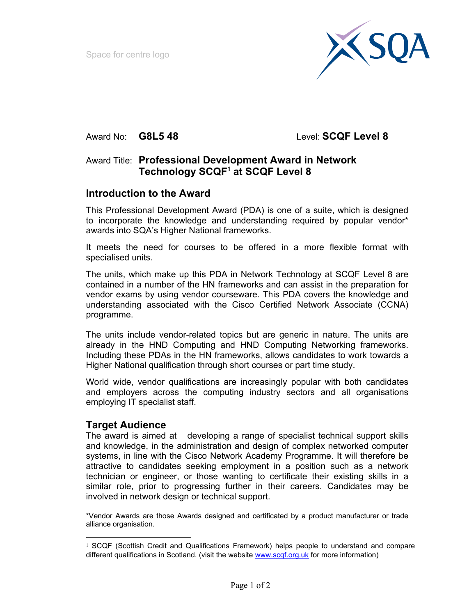Space for centre logo



Award No: **G8L5 48** Level: **SCQF Level 8** 

## Award Title: **Professional Development Award in Network Technology SCQF1 at SCQF Level 8**

#### **Introduction to the Award**

This Professional Development Award (PDA) is one of a suite, which is designed to incorporate the knowledge and understanding required by popular vendor\* awards into SQA's Higher National frameworks.

It meets the need for courses to be offered in a more flexible format with specialised units.

The units, which make up this PDA in Network Technology at SCQF Level 8 are contained in a number of the HN frameworks and can assist in the preparation for vendor exams by using vendor courseware. This PDA covers the knowledge and understanding associated with the Cisco Certified Network Associate (CCNA) programme.

The units include vendor-related topics but are generic in nature. The units are already in the HND Computing and HND Computing Networking frameworks. Including these PDAs in the HN frameworks, allows candidates to work towards a Higher National qualification through short courses or part time study.

World wide, vendor qualifications are increasingly popular with both candidates and employers across the computing industry sectors and all organisations employing IT specialist staff.

#### **Target Audience**

 $\overline{a}$ 

The award is aimed at developing a range of specialist technical support skills and knowledge, in the administration and design of complex networked computer systems, in line with the Cisco Network Academy Programme. It will therefore be attractive to candidates seeking employment in a position such as a network technician or engineer, or those wanting to certificate their existing skills in a similar role, prior to progressing further in their careers. Candidates may be involved in network design or technical support.

\*Vendor Awards are those Awards designed and certificated by a product manufacturer or trade alliance organisation.

<sup>1</sup> SCQF (Scottish Credit and Qualifications Framework) helps people to understand and compare different qualifications in Scotland. (visit the website www.scqf.org.uk for more information)